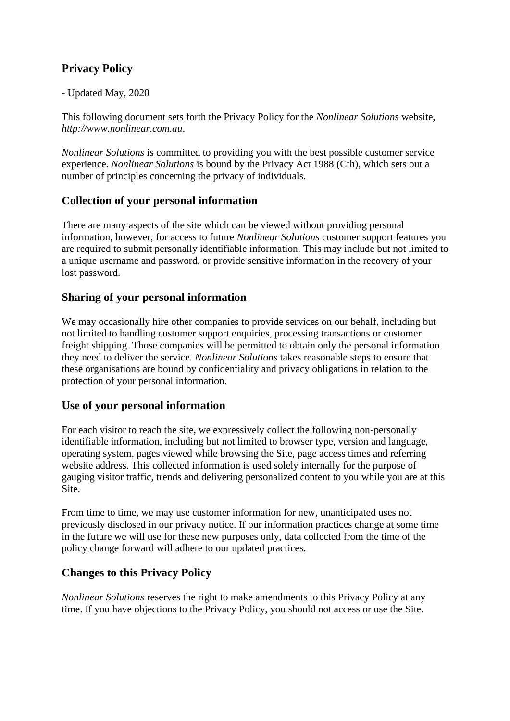# **Privacy Policy**

#### - Updated May, 2020

This following document sets forth the Privacy Policy for the *Nonlinear Solutions* website, *http://www.nonlinear.com.au*.

*Nonlinear Solutions* is committed to providing you with the best possible customer service experience. *Nonlinear Solutions* is bound by the Privacy Act 1988 (Cth), which sets out a number of principles concerning the privacy of individuals.

## **Collection of your personal information**

There are many aspects of the site which can be viewed without providing personal information, however, for access to future *Nonlinear Solutions* customer support features you are required to submit personally identifiable information. This may include but not limited to a unique username and password, or provide sensitive information in the recovery of your lost password.

### **Sharing of your personal information**

We may occasionally hire other companies to provide services on our behalf, including but not limited to handling customer support enquiries, processing transactions or customer freight shipping. Those companies will be permitted to obtain only the personal information they need to deliver the service. *Nonlinear Solutions* takes reasonable steps to ensure that these organisations are bound by confidentiality and privacy obligations in relation to the protection of your personal information.

### **Use of your personal information**

For each visitor to reach the site, we expressively collect the following non-personally identifiable information, including but not limited to browser type, version and language, operating system, pages viewed while browsing the Site, page access times and referring website address. This collected information is used solely internally for the purpose of gauging visitor traffic, trends and delivering personalized content to you while you are at this Site.

From time to time, we may use customer information for new, unanticipated uses not previously disclosed in our privacy notice. If our information practices change at some time in the future we will use for these new purposes only, data collected from the time of the policy change forward will adhere to our updated practices.

# **Changes to this Privacy Policy**

*Nonlinear Solutions* reserves the right to make amendments to this Privacy Policy at any time. If you have objections to the Privacy Policy, you should not access or use the Site.